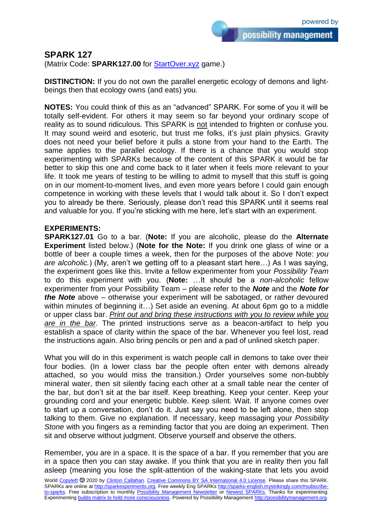possibility management

## **SPARK 127**

(Matrix Code: **SPARK127.00** for **StartOver.xyz** game.)

**DISTINCTION:** If you do not own the parallel energetic ecology of demons and lightbeings then that ecology owns (and eats) you.

**NOTES:** You could think of this as an "advanced" SPARK. For some of you it will be totally self-evident. For others it may seem so far beyond your ordinary scope of reality as to sound ridiculous. This SPARK is not intended to frighten or confuse you. It may sound weird and esoteric, but trust me folks, it's just plain physics. Gravity does not need your belief before it pulls a stone from your hand to the Earth. The same applies to the parallel ecology. If there is a chance that you would stop experimenting with SPARKs because of the content of this SPARK it would be far better to skip this one and come back to it later when it feels more relevant to your life. It took me years of testing to be willing to admit to myself that this stuff is going on in our moment-to-moment lives, and even more years before I could gain enough competence in working with these levels that I would talk about it. So I don't expect you to already be there. Seriously, please don't read this SPARK until it seems real and valuable for you. If you're sticking with me here, let's start with an experiment.

## **EXPERIMENTS:**

**SPARK127.01** Go to a bar. (**Note:** If you are alcoholic, please do the **Alternate Experiment** listed below.) (**Note for the Note:** If you drink one glass of wine or a bottle of beer a couple times a week, then for the purposes of the above Note: *you are alcoholic.*) (My, aren't we getting off to a pleasant start here…) As I was saying, the experiment goes like this. Invite a fellow experimenter from your *Possibility Team* to do this experiment with you. (**Note:** …It should be a *non-alcoholic* fellow experimenter from your Possibility Team – please refer to the *Note* and the *Note for the Note* above – otherwise your experiment will be sabotaged, or rather devoured within minutes of beginning it…) Set aside an evening. At about 6pm go to a middle or upper class bar. *Print out and bring these instructions with you to review while you are in the bar*. The printed instructions serve as a beacon-artifact to help you establish a space of clarity within the space of the bar. Whenever you feel lost, read the instructions again. Also bring pencils or pen and a pad of unlined sketch paper.

What you will do in this experiment is watch people call in demons to take over their four bodies. (In a lower class bar the people often enter with demons already attached, so you would miss the transition.) Order yourselves some non-bubbly mineral water, then sit silently facing each other at a small table near the center of the bar, but don't sit at the bar itself. Keep breathing. Keep your center. Keep your grounding cord and your energetic bubble. Keep silent. Wait. If anyone comes over to start up a conversation, don't do it. Just say you need to be left alone, then stop talking to them. Give no explanation. If necessary, keep massaging your *Possibility Stone* with you fingers as a reminding factor that you are doing an experiment. Then sit and observe without judgment. Observe yourself and observe the others.

Remember, you are in a space. It is the space of a bar. If you remember that you are in a space then you can stay awake. If you think that you are in reality then you fall asleep (meaning you lose the split-attention of the waking-state that lets you avoid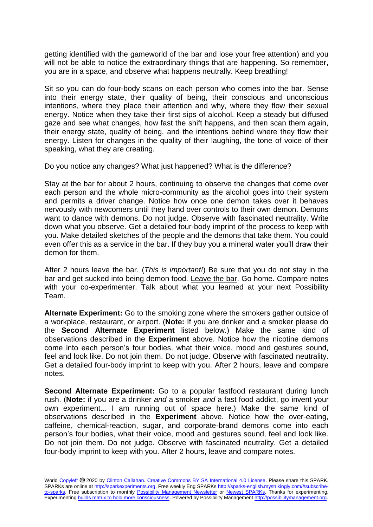getting identified with the gameworld of the bar and lose your free attention) and you will not be able to notice the extraordinary things that are happening. So remember, you are in a space, and observe what happens neutrally. Keep breathing!

Sit so you can do four-body scans on each person who comes into the bar. Sense into their energy state, their quality of being, their conscious and unconscious intentions, where they place their attention and why, where they flow their sexual energy. Notice when they take their first sips of alcohol. Keep a steady but diffused gaze and see what changes, how fast the shift happens, and then scan them again, their energy state, quality of being, and the intentions behind where they flow their energy. Listen for changes in the quality of their laughing, the tone of voice of their speaking, what they are creating.

Do you notice any changes? What just happened? What is the difference?

Stay at the bar for about 2 hours, continuing to observe the changes that come over each person and the whole micro-community as the alcohol goes into their system and permits a driver change. Notice how once one demon takes over it behaves nervously with newcomers until they hand over controls to their own demon. Demons want to dance with demons. Do not judge. Observe with fascinated neutrality. Write down what you observe. Get a detailed four-body imprint of the process to keep with you. Make detailed sketches of the people and the demons that take them. You could even offer this as a service in the bar. If they buy you a mineral water you'll draw their demon for them.

After 2 hours leave the bar. (*This is important!*) Be sure that you do not stay in the bar and get sucked into being demon food. Leave the bar. Go home. Compare notes with your co-experimenter. Talk about what you learned at your next Possibility Team.

**Alternate Experiment:** Go to the smoking zone where the smokers gather outside of a workplace, restaurant, or airport. (**Note:** If you are drinker and a smoker please do the **Second Alternate Experiment** listed below.) Make the same kind of observations described in the **Experiment** above. Notice how the nicotine demons come into each person's four bodies, what their voice, mood and gestures sound, feel and look like. Do not join them. Do not judge. Observe with fascinated neutrality. Get a detailed four-body imprint to keep with you. After 2 hours, leave and compare notes.

**Second Alternate Experiment:** Go to a popular fastfood restaurant during lunch rush. (**Note:** if you are a drinker *and* a smoker *and* a fast food addict, go invent your own experiment... I am running out of space here.) Make the same kind of observations described in the **Experiment** above. Notice how the over-eating, caffeine, chemical-reaction, sugar, and corporate-brand demons come into each person's four bodies, what their voice, mood and gestures sound, feel and look like. Do not join them. Do not judge. Observe with fascinated neutrality. Get a detailed four-body imprint to keep with you. After 2 hours, leave and compare notes.

World [Copyleft](https://en.wikipedia.org/wiki/Copyleft) <sup>5</sup> 2020 by [Clinton Callahan.](http://clintoncallahan.mystrikingly.com/) [Creative Commons BY SA International 4.0 License.](https://creativecommons.org/licenses/by-sa/4.0/) Please share this SPARK. SPARKs are online at [http://sparkexperiments.org.](http://sparks-english.mystrikingly.com/) Free weekly Eng SPARKs [http://sparks-english.mystrikingly.com/#subscribe](http://sparks-english.mystrikingly.com/#subscribe-to-sparks)[to-sparks.](http://sparks-english.mystrikingly.com/#subscribe-to-sparks) Free subscription to monthly [Possibility Management Newsletter](https://possibilitymanagement.org/news/) or [Newest SPARKs.](https://www.clintoncallahan.org/newsletter-1) Thanks for experimenting. Experimentin[g builds matrix to hold more consciousness.](http://spaceport.mystrikingly.com/) Powered by Possibility Managemen[t http://possibilitymanagement.org.](http://possibilitymanagement.org/)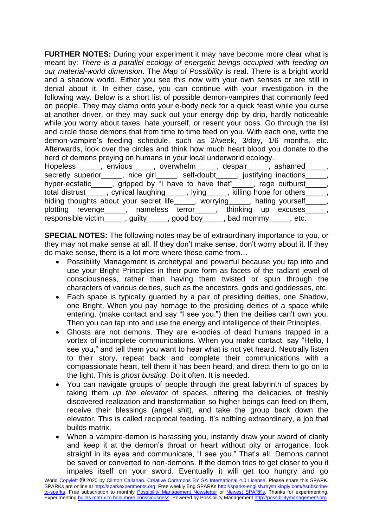**FURTHER NOTES:** During your experiment it may have become more clear what is meant by: *There is a parallel ecology of energetic beings occupied with feeding on our material-world dimension*. The *Map of Possibility* is real. There is a bright world and a shadow world. Either you see this now with your own senses or are still in denial about it. In either case, you can continue with your investigation in the following way. Below is a short list of possible demon-vampires that commonly feed on people. They may clamp onto your e-body neck for a quick feast while you curse at another driver, or they may suck out your energy drip by drip, hardly noticeable while you worry about taxes, hate yourself, or resent your boss. Go through the list and circle those demons that from time to time feed on you. With each one, write the demon-vampire's feeding schedule, such as 2/week, 3/day, 1/6 months, etc. Afterwards, look over the circles and think how much heart blood you donate to the herd of demons preying on humans in your local underworld ecology.

| Hopeless _____, envious_____, overwhelm_____, despair_____, ashamed_____,           |  |
|-------------------------------------------------------------------------------------|--|
| secretly superior_____, nice girl_____, self-doubt_____, justifying inactions_____, |  |
| hyper-ecstatic , gripped by "I have to have that" ____, rage outburst ____,         |  |
| total distrust_____, cynical laughing_____, lying____, killing hope for others____, |  |
| hiding thoughts about your secret life_____, worrying____, hating yourself____,     |  |
| plotting revenge_____, nameless terror_____, thinking up excuses_____               |  |
| responsible victim______, guilty______, good boy_____, bad mommy_____, etc.         |  |

**SPECIAL NOTES:** The following notes may be of extraordinary importance to you, or they may not make sense at all. If they don't make sense, don't worry about it. If they do make sense, there is a lot more where these came from…

- Possibility Management is archetypal and powerful because you tap into and use your Bright Principles in their pure form as facets of the radiant jewel of consciousness, rather than having them twisted or spun through the characters of various deities, such as the ancestors, gods and goddesses, etc.
- Each space is typically guarded by a pair of presiding deities, one Shadow, one Bright. When you pay homage to the presiding deities of a space while entering, (make contact and say "I see you.") then the deities can't own you. Then you can tap into and use the energy and intelligence of their Principles.
- Ghosts are not demons. They are e-bodies of dead humans trapped in a vortex of incomplete communications. When you make contact, say "Hello, I see you," and tell them you want to hear what is not yet heard. Neutrally listen to their story, repeat back and complete their communications with a compassionate heart, tell them it has been heard, and direct them to go on to the light. This is *ghost busting*. Do it often. It is needed.
- You can navigate groups of people through the great labyrinth of spaces by taking them *up the elevator* of spaces, offering the delicacies of freshly discovered realization and transformation so higher beings can feed on them, receive their blessings (angel shit), and take the group back down the elevator. This is called reciprocal feeding. It's nothing extraordinary, a job that builds matrix.
- When a vampire-demon is harassing you, instantly draw your sword of clarity and keep it at the demon's throat or heart without pity or arrogance, look straight in its eyes and communicate, "I see you." That's all. Demons cannot be saved or converted to non-demons. If the demon tries to get closer to you it impales itself on your sword. Eventually it will get too hungry and go